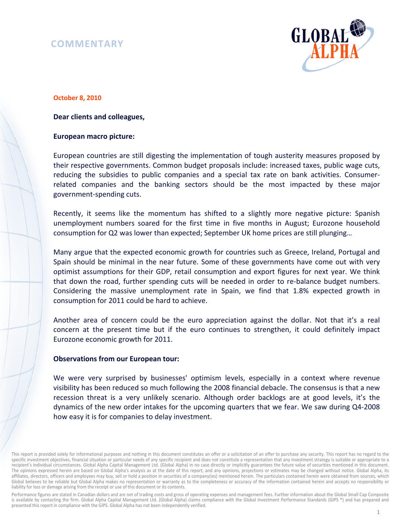# **COMMENTARY**



#### **October 8, 2010**

### **Dear clients and colleagues,**

#### **European macro picture:**

European countries are still digesting the implementation of tough austerity measures proposed by their respective governments. Common budget proposals include: increased taxes, public wage cuts, reducing the subsidies to public companies and a special tax rate on bank activities. Consumerrelated companies and the banking sectors should be the most impacted by these major government-spending cuts.

Recently, it seems like the momentum has shifted to a slightly more negative picture: Spanish unemployment numbers soared for the first time in five months in August; Eurozone household consumption for Q2 was lower than expected; September UK home prices are still plunging…

Many argue that the expected economic growth for countries such as Greece, Ireland, Portugal and Spain should be minimal in the near future. Some of these governments have come out with very optimist assumptions for their GDP, retail consumption and export figures for next year. We think that down the road, further spending cuts will be needed in order to re-balance budget numbers. Considering the massive unemployment rate in Spain, we find that 1.8% expected growth in consumption for 2011 could be hard to achieve.

Another area of concern could be the euro appreciation against the dollar. Not that it's a real concern at the present time but if the euro continues to strengthen, it could definitely impact Eurozone economic growth for 2011.

## **Observations from our European tour:**

We were very surprised by businesses' optimism levels, especially in a context where revenue visibility has been reduced so much following the 2008 financial debacle. The consensus is that a new recession threat is a very unlikely scenario. Although order backlogs are at good levels, it's the dynamics of the new order intakes for the upcoming quarters that we fear. We saw during Q4-2008 how easy it is for companies to delay investment.

Performance figures are stated in Canadian dollars and are net of trading costs and gross of operating expenses and management fees. Further information about the Global Small Cap Composite is available by contacting the firm. Global Alpha Capital Management Ltd. (Global Alpha) claims compliance with the Global Investment Performance Standards (GIPS ®) and has prepared and presented this report in compliance with the GIPS. Global Alpha has not been independently verified.

This report is provided solely for informational purposes and nothing in this document constitutes an offer or a solicitation of an offer to purchase any security. This report has no regard to the specific investment objectives, financial situation or particular needs of any specific recipient and does not constitute a representation that any investment strategy is suitable or appropriate to a recipient's individual circumstances. Global Alpha Capital Management Ltd. (Global Alpha) in no case directly or implicitly guarantees the future value of securities mentioned in this document. The opinions expressed herein are based on Global Alpha's analysis as at the date of this report, and any opinions, projections or estimates may be changed without notice. Global Alpha, its affiliates, directors, officers and employees may buy, sell or hold a position in securities of a company(ies) mentioned herein. The particulars contained herein were obtained from sources, which Global believes to be reliable but Global Alpha makes no representation or warranty as to the completeness or accuracy of the information contained herein and accepts no responsibility or liability for loss or damage arising from the receipt or use of this document or its contents.